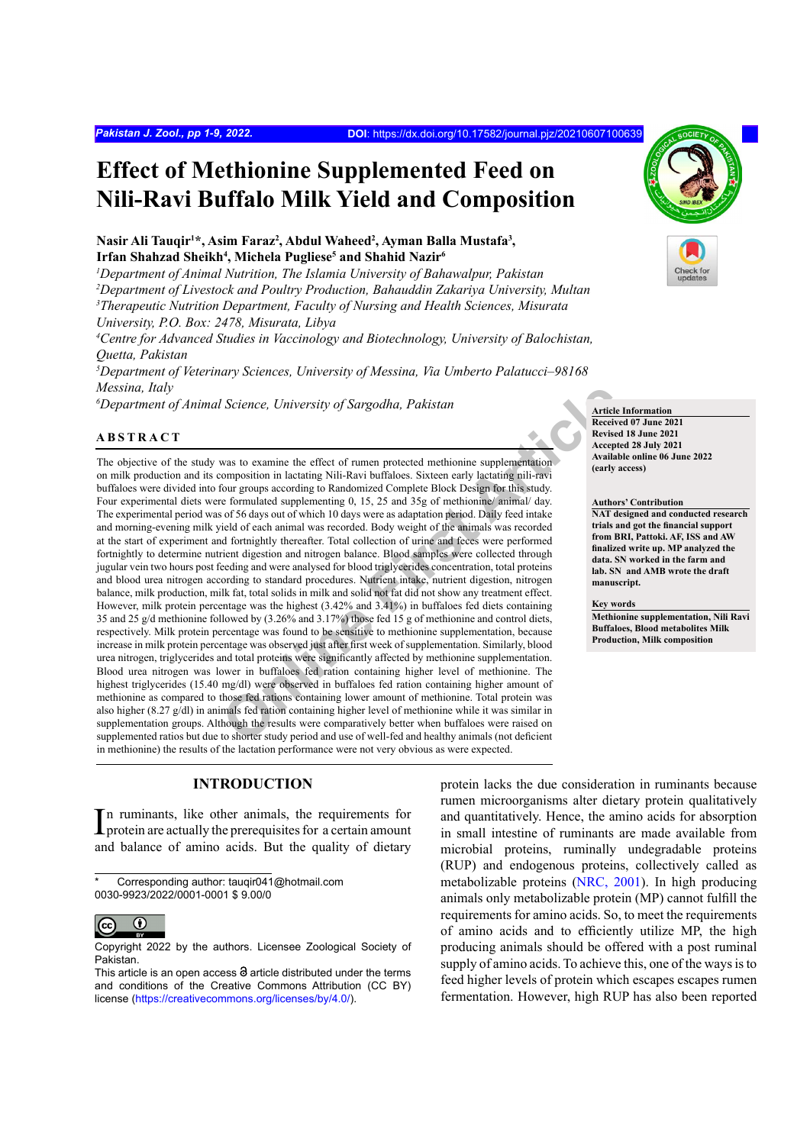# **Effect of Methionine Supplemented Feed on Nili-Ravi Buffalo Milk Yield and Composition**

# Nasir Ali Tauqir<sup>1\*</sup>, Asim Faraz<sup>2</sup>, Abdul Waheed<sup>2</sup>, Ayman Balla Mustafa<sup>3</sup>, **Irfan Shahzad Sheikh4 , Michela Pugliese5 and Shahid Nazir6**

*1 Department of Animal Nutrition, The Islamia University of Bahawalpur, Pakistan*

*2 Department of Livestock and Poultry Production, Bahauddin Zakariya University, Multan*

*3 Therapeutic Nutrition Department, Faculty of Nursing and Health Sciences, Misurata University, P.O. Box: 2478, Misurata, Libya*

*4 Centre for Advanced Studies in Vaccinology and Biotechnology, University of Balochistan, Quetta, Pakistan*

*5 Department of Veterinary Sciences, University of Messina, Via Umberto Palatucci–98168 Messina, Italy*

*6* Department of Animal Science, University of Sargodha, Pakistan **Article Information** 

# **ABSTRACT**

*Science, University of Sargodha, Pakistan*<br> **Science, University of Sargodha, Pakistan**<br> **Online Receive**<br> **Online First Article**<br> **Online First Article Commentation**<br> **Online First Article Commentation**<br> **Online First Ar** The objective of the study was to examine the effect of rumen protected methionine supplementation on milk production and its composition in lactating Nili-Ravi buffaloes. Sixteen early lactating nili-ravi buffaloes were divided into four groups according to Randomized Complete Block Design for this study. Four experimental diets were formulated supplementing 0, 15, 25 and 35g of methionine/ animal/ day. The experimental period was of 56 days out of which 10 days were as adaptation period. Daily feed intake and morning-evening milk yield of each animal was recorded. Body weight of the animals was recorded at the start of experiment and fortnightly thereafter. Total collection of urine and feces were performed fortnightly to determine nutrient digestion and nitrogen balance. Blood samples were collected through jugular vein two hours post feeding and were analysed for blood triglycerides concentration, total proteins and blood urea nitrogen according to standard procedures. Nutrient intake, nutrient digestion, nitrogen balance, milk production, milk fat, total solids in milk and solid not fat did not show any treatment effect. However, milk protein percentage was the highest (3.42% and 3.41%) in buffaloes fed diets containing 35 and 25 g/d methionine followed by (3.26% and 3.17%) those fed 15 g of methionine and control diets, respectively. Milk protein percentage was found to be sensitive to methionine supplementation, because increase in milk protein percentage was observed just after first week of supplementation. Similarly, blood urea nitrogen, triglycerides and total proteins were significantly affected by methionine supplementation. Blood urea nitrogen was lower in buffaloes fed ration containing higher level of methionine. The highest triglycerides (15.40 mg/dl) were observed in buffaloes fed ration containing higher amount of methionine as compared to those fed rations containing lower amount of methionine. Total protein was also higher (8.27 g/dl) in animals fed ration containing higher level of methionine while it was similar in supplementation groups. Although the results were comparatively better when buffaloes were raised on supplemented ratios but due to shorter study period and use of well-fed and healthy animals (not deficient in methionine) the results of the lactation performance were not very obvious as were expected.

# **INTRODUCTION**

In ruminants, like other animals, the requirements for protein are actually the prerequisites for a certain amount protein are actually the prerequisites for a certain amount and balance of amino acids. But the quality of dietary

Corresponding author: tauqir041@hotmail.com 0030-9923/2022/0001-0001 \$ 9.00/0



Copyright 2022 by the authors. Licensee Zoological Society of Pakistan.

protein lacks the due consideration in ruminants because rumen microorganisms alter dietary protein qualitatively and quantitatively. Hence, the amino acids for absorption in small intestine of ruminants are made available from microbial proteins, ruminally undegradable proteins (RUP) and endogenous proteins, collectively called as metabolizable proteins [\(NRC, 2001](#page-8-0)). In high producing animals only metabolizable protein (MP) cannot fulfill the requirements for amino acids. So, to meet the requirements of amino acids and to efficiently utilize MP, the high producing animals should be offered with a post ruminal supply of amino acids. To achieve this, one of the ways is to feed higher levels of protein which escapes escapes rumen fermentation. However, high RUP has also been reported

**Received 07 June 2021 Revised 18 June 2021 Accepted 28 July 2021 Available online 06 June 2022 (early access)**

**Authors' Contribution NAT designed and conducted research trials and got the financial support from BRI, Pattoki. AF, ISS and AW finalized write up. MP analyzed the data. SN worked in the farm and lab. SN and AMB wrote the draft manuscript.**

#### **Key words**

**Methionine supplementation, Nili Ravi Buffaloes, Blood metabolites Milk Production, Milk composition**



This article is an open access  $\Theta$  article distributed under the terms and conditions of the Creative Commons Attribution (CC BY) license (https://creativecommons.org/licenses/by/4.0/).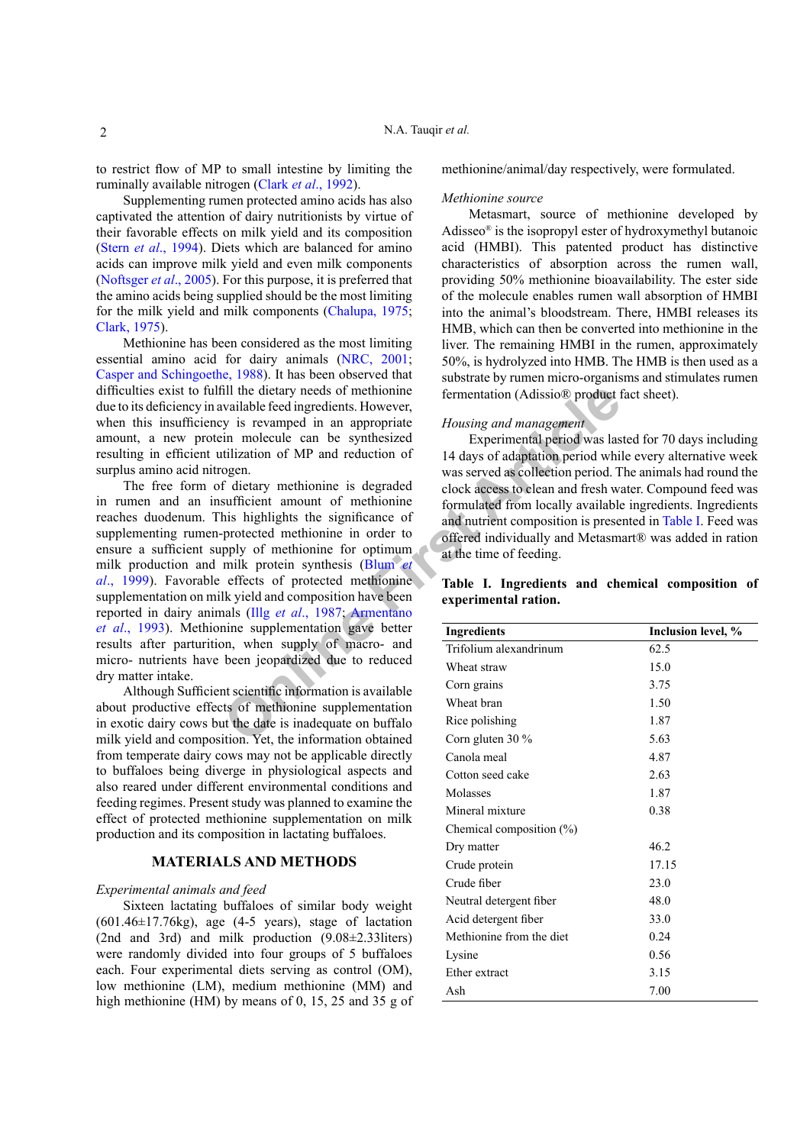to restrict flow of MP to small intestine by limiting the ruminally available nitrogen (Clark *et al*[., 1992\)](#page-7-0).

Supplementing rumen protected amino acids has also captivated the attention of dairy nutritionists by virtue of their favorable effects on milk yield and its composition (Stern *et al*[., 1994\)](#page-8-1). Diets which are balanced for amino acids can improve milk yield and even milk components [\(Noftsger](#page-8-2) *et al*., 2005). For this purpose, it is preferred that the amino acids being supplied should be the most limiting for the milk yield and milk components [\(Chalupa, 1975](#page-7-1); [Clark, 1975\)](#page-7-2).

Methionine has been considered as the most limiting essential amino acid for dairy animals [\(NRC, 2001](#page-8-0); [Casper and Schingoethe, 1988](#page-7-3)). It has been observed that difficulties exist to fulfill the dietary needs of methionine due to its deficiency in available feed ingredients. However, when this insufficiency is revamped in an appropriate amount, a new protein molecule can be synthesized resulting in efficient utilization of MP and reduction of surplus amino acid nitrogen.

The distant and appropriate the date is inadequate to the propriate the information of MP and readuction of MP and reduction of  $\theta$  is revamped in an appropriate the strategy is increased as collection period. The detail The free form of dietary methionine is degraded in rumen and an insufficient amount of methionine reaches duodenum. This highlights the significance of supplementing rumen-protected methionine in order to ensure a sufficient supply of methionine for optimum milk production and milk protein synthesis (Blum *et al*[., 1999\)](#page-7-4). Favorable effects of protected methionine supplementation on milk yield and composition have been reported in dairy animals (Illg *et al*., 1987; Armentano *et al*[., 1993](#page-7-6)). Methionine supplementation gave better results after parturition, when supply of macro- and micro- nutrients have been jeopardized due to reduced dry matter intake.

Although Sufficient scientific information is available about productive effects of methionine supplementation in exotic dairy cows but the date is inadequate on buffalo milk yield and composition. Yet, the information obtained from temperate dairy cows may not be applicable directly to buffaloes being diverge in physiological aspects and also reared under different environmental conditions and feeding regimes. Present study was planned to examine the effect of protected methionine supplementation on milk production and its composition in lactating buffaloes.

# **MATERIALS AND METHODS**

#### *Experimental animals and feed*

Sixteen lactating buffaloes of similar body weight  $(601.46 \pm 17.76 \text{kg})$ , age  $(4-5 \text{ years})$ , stage of lactation (2nd and 3rd) and milk production (9.08±2.33liters) were randomly divided into four groups of 5 buffaloes each. Four experimental diets serving as control (OM), low methionine (LM), medium methionine (MM) and high methionine (HM) by means of 0, 15, 25 and 35 g of methionine/animal/day respectively, were formulated.

#### *Methionine source*

Metasmart, source of methionine developed by Adisseo® is the isopropyl ester of hydroxymethyl butanoic acid (HMBI). This patented product has distinctive characteristics of absorption across the rumen wall, providing 50% methionine bioavailability. The ester side of the molecule enables rumen wall absorption of HMBI into the animal's bloodstream. There, HMBI releases its HMB, which can then be converted into methionine in the liver. The remaining HMBI in the rumen, approximately 50%, is hydrolyzed into HMB. The HMB is then used as a substrate by rumen micro-organisms and stimulates rumen fermentation (Adissio® product fact sheet).

# *Housing and management*

Experimental period was lasted for 70 days including 14 days of adaptation period while every alternative week was served as collection period. The animals had round the clock access to clean and fresh water. Compound feed was formulated from locally available ingredients. Ingredients and nutrient composition is presented in [Table I.](#page-1-0) Feed was offered individually and Metasmart® was added in ration at the time of feeding.

# <span id="page-1-0"></span>**Table I. Ingredients and chemical composition of experimental ration.**

| <b>Ingredients</b>          | Inclusion level, % |  |  |  |  |
|-----------------------------|--------------------|--|--|--|--|
| Trifolium alexandrinum      | 62.5               |  |  |  |  |
| Wheat straw                 | 15.0               |  |  |  |  |
| Corn grains                 | 3.75               |  |  |  |  |
| Wheat bran                  | 1.50               |  |  |  |  |
| Rice polishing              | 1.87               |  |  |  |  |
| Corn gluten 30 $\%$         | 5.63               |  |  |  |  |
| Canola meal                 | 4.87               |  |  |  |  |
| Cotton seed cake            | 2.63               |  |  |  |  |
| Molasses                    | 1.87               |  |  |  |  |
| Mineral mixture             | 0.38               |  |  |  |  |
| Chemical composition $(\%)$ |                    |  |  |  |  |
| Dry matter                  | 46.2               |  |  |  |  |
| Crude protein               | 17.15              |  |  |  |  |
| Crude fiber                 | 23.0               |  |  |  |  |
| Neutral detergent fiber     | 48.0               |  |  |  |  |
| Acid detergent fiber        | 33.0               |  |  |  |  |
| Methionine from the diet    | 0.24               |  |  |  |  |
| Lysine                      | 0.56               |  |  |  |  |
| Ether extract               | 3.15               |  |  |  |  |
| Ash                         | 7.00               |  |  |  |  |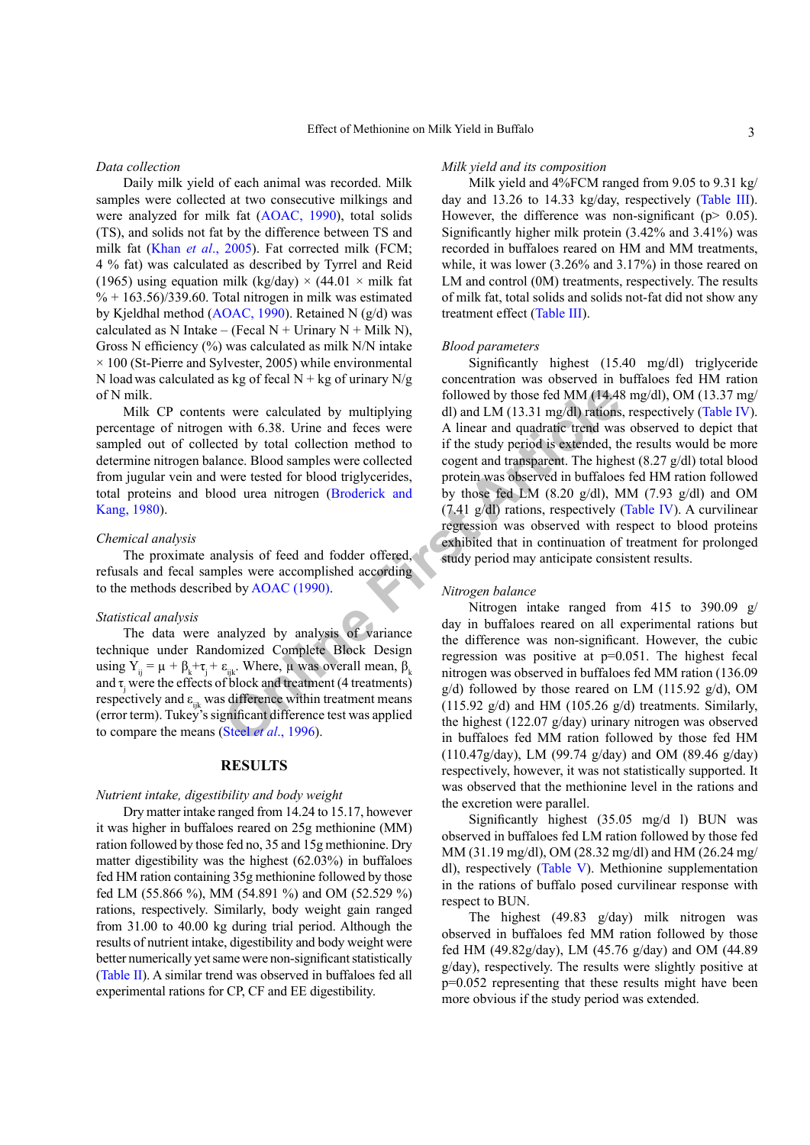#### *Data collection*

Daily milk yield of each animal was recorded. Milk samples were collected at two consecutive milkings and were analyzed for milk fat ([AOAC, 1990](#page-7-7)), total solids (TS), and solids not fat by the difference between TS and milk fat (Khan *et al*[., 2005](#page-7-8)). Fat corrected milk (FCM; 4 % fat) was calculated as described by Tyrrel and Reid (1965) using equation milk (kg/day)  $\times$  (44.01  $\times$  milk fat  $\% + 163.56/339.60$ . Total nitrogen in milk was estimated by Kjeldhal method [\(AOAC, 1990](#page-7-7)). Retained N (g/d) was calculated as N Intake – (Fecal N + Urinary N + Milk N), Gross N efficiency (%) was calculated as milk N/N intake  $\times$  100 (St-Pierre and Sylvester, 2005) while environmental N load was calculated as kg of fecal  $N + kg$  of urinary N/g of N milk.

Milk CP contents were calculated by multiplying percentage of nitrogen with 6.38. Urine and feces were sampled out of collected by total collection method to determine nitrogen balance. Blood samples were collected from jugular vein and were tested for blood triglycerides, total proteins and blood urea nitrogen (Broderick and [Kang, 1980](#page-7-9)).

#### *Chemical analysis*

The proximate analysis of feed and fodder offered, refusals and fecal samples were accomplished according to the methods described by AOAC (1990).

#### *Statistical analysis*

The data were analyzed by analysis of variance technique under Randomized Complete Block Design using  $Y_{ij} = \mu + \beta_k + \tau_j + \varepsilon_{ijk}$ . Where,  $\mu$  was overall mean,  $\beta_k$ and  $\tau_j$  were the effects of block and treatment (4 treatments) respectively and  $\varepsilon_{ijk}$  was difference within treatment means (error term). Tukey's significant difference test was applied to compare the means (Steel *et al*., 1996).

# **RESULTS**

### *Nutrient intake, digestibility and body weight*

Dry matter intake ranged from 14.24 to 15.17, however it was higher in buffaloes reared on 25g methionine (MM) ration followed by those fed no, 35 and 15g methionine. Dry matter digestibility was the highest (62.03%) in buffaloes fed HM ration containing 35g methionine followed by those fed LM (55.866 %), MM (54.891 %) and OM (52.529 %) rations, respectively. Similarly, body weight gain ranged from 31.00 to 40.00 kg during trial period. Although the results of nutrient intake, digestibility and body weight were better numerically yet same were non-significant statistically [\(Table II\)](#page-3-0). A similar trend was observed in buffaloes fed all experimental rations for CP, CF and EE digestibility.

#### *Milk yield and its composition*

Milk yield and 4%FCM ranged from 9.05 to 9.31 kg/ day and 13.26 to 14.33 kg/day, respectively [\(Table III](#page-3-1)). However, the difference was non-significant ( $p$  > 0.05). Significantly higher milk protein (3.42% and 3.41%) was recorded in buffaloes reared on HM and MM treatments, while, it was lower (3.26% and 3.17%) in those reared on LM and control (0M) treatments, respectively. The results of milk fat, total solids and solids not-fat did not show any treatment effect [\(Table III](#page-3-1)).

#### *Blood parameters*

followed by those fed MM (14.48<br>were calculated by multiplying dl) and LM (13.31 mg/dl) rations<br>ted by total collection method to if the study period is extended, the<br>ted by total collection method or if the study period i Significantly highest (15.40 mg/dl) triglyceride concentration was observed in buffaloes fed HM ration followed by those fed MM  $(14.48 \text{ mg/dl})$ , OM  $(13.37 \text{ mg}/$ dl) and LM (13.31 mg/dl) rations, respectively [\(Table IV](#page-3-2)). A linear and quadratic trend was observed to depict that if the study period is extended, the results would be more cogent and transparent. The highest (8.27 g/dl) total blood protein was observed in buffaloes fed HM ration followed by those fed LM  $(8.20 \text{ g/dl})$ , MM  $(7.93 \text{ g/dl})$  and OM (7.41 g/dl) rations, respectively [\(Table IV](#page-3-2)). A curvilinear regression was observed with respect to blood proteins exhibited that in continuation of treatment for prolonged study period may anticipate consistent results.

#### *Nitrogen balance*

Nitrogen intake ranged from 415 to 390.09 g/ day in buffaloes reared on all experimental rations but the difference was non-significant. However, the cubic regression was positive at p=0.051. The highest fecal nitrogen was observed in buffaloes fed MM ration (136.09  $g/d$ ) followed by those reared on LM (115.92  $g/d$ ), OM (115.92  $g/d$ ) and HM (105.26  $g/d$ ) treatments. Similarly, the highest (122.07 g/day) urinary nitrogen was observed in buffaloes fed MM ration followed by those fed HM (110.47g/day), LM (99.74 g/day) and OM (89.46 g/day) respectively, however, it was not statistically supported. It was observed that the methionine level in the rations and the excretion were parallel.

Significantly highest (35.05 mg/d l) BUN was observed in buffaloes fed LM ration followed by those fed MM (31.19 mg/dl), OM (28.32 mg/dl) and HM (26.24 mg/ dl), respectively [\(Table V](#page-3-3)). Methionine supplementation in the rations of buffalo posed curvilinear response with respect to BUN.

The highest (49.83 g/day) milk nitrogen was observed in buffaloes fed MM ration followed by those fed HM (49.82g/day), LM (45.76 g/day) and OM (44.89 g/day), respectively. The results were slightly positive at p=0.052 representing that these results might have been more obvious if the study period was extended.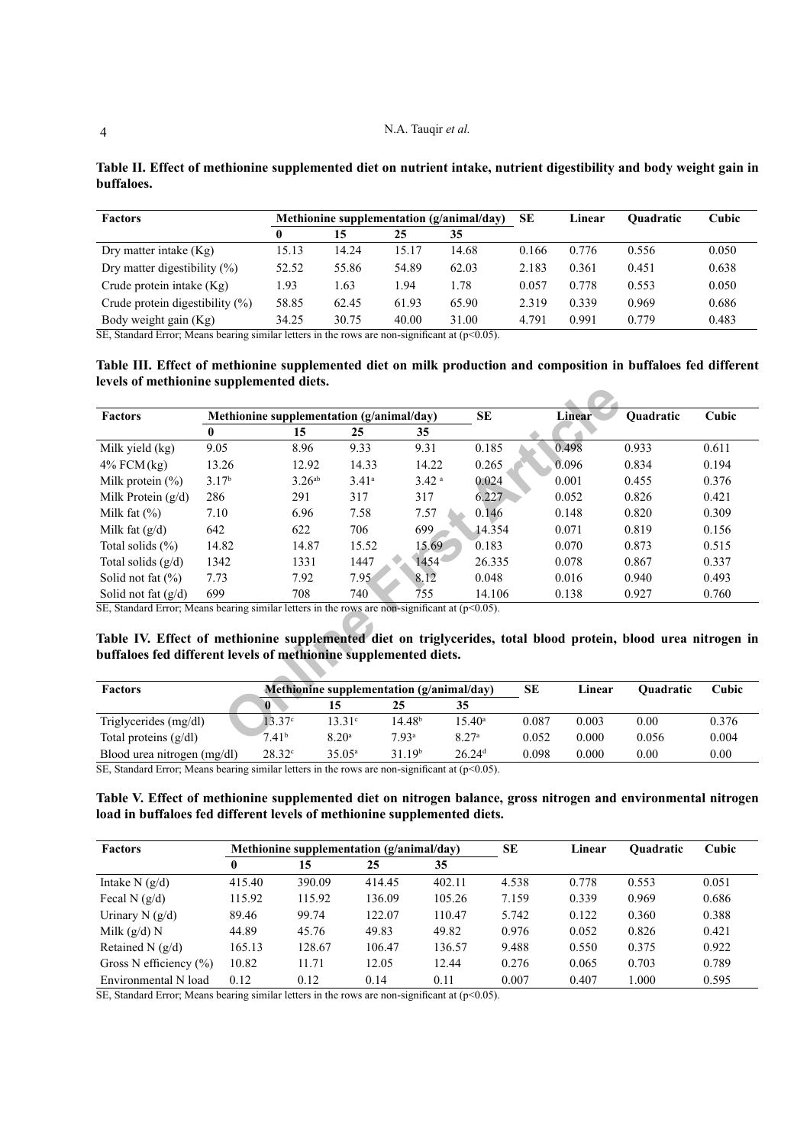| <b>Factors</b>                     | Methionine supplementation (g/animal/day) |       |       |       | SE    | Linear | <b>Ouadratic</b> | Cubic |
|------------------------------------|-------------------------------------------|-------|-------|-------|-------|--------|------------------|-------|
|                                    | 0                                         | 15    | 25    | 35    |       |        |                  |       |
| Dry matter intake $(Kg)$           | 15.13                                     | 14.24 | 15.17 | 14.68 | 0.166 | 0.776  | 0.556            | 0.050 |
| Dry matter digestibility $(\% )$   | 52.52                                     | 55.86 | 54.89 | 62.03 | 2.183 | 0.361  | 0.451            | 0.638 |
| Crude protein intake $(Kg)$        | .93                                       | 1.63  | - 94  | .78   | 0.057 | 0.778  | 0.553            | 0.050 |
| Crude protein digestibility $(\%)$ | 58.85                                     | 62.45 | 61.93 | 65.90 | 2.319 | 0.339  | 0.969            | 0.686 |
| Body weight gain (Kg)              | 34.25                                     | 30.75 | 40.00 | 31.00 | 4.791 | 0.991  | 0.779            | 0.483 |

<span id="page-3-0"></span>**Table II. Effect of methionine supplemented diet on nutrient intake, nutrient digestibility and body weight gain in buffaloes.**

 $\overline{\text{SE}}$ , Standard Error; Means bearing similar letters in the rows are non-significant at (p<0.05).

<span id="page-3-1"></span>**Table III. Effect of methionine supplemented diet on milk production and composition in buffaloes fed different levels of methionine supplemented diets.**

| <b>Factors</b>                                                                                                                                                                                                                                                                                                | Methionine supplementation (g/animal/day) |                    |                                           |                    |                   |       | <b>Linear</b> | Quadratic | Cubic |
|---------------------------------------------------------------------------------------------------------------------------------------------------------------------------------------------------------------------------------------------------------------------------------------------------------------|-------------------------------------------|--------------------|-------------------------------------------|--------------------|-------------------|-------|---------------|-----------|-------|
|                                                                                                                                                                                                                                                                                                               |                                           | 15                 | 25                                        | 35                 |                   |       |               |           |       |
| Milk yield (kg)                                                                                                                                                                                                                                                                                               | 9.05                                      | 8.96               | 9.33                                      | 9.31               | 0.185             |       | 0.498         | 0.933     | 0.611 |
| $4\%$ FCM $(kg)$                                                                                                                                                                                                                                                                                              | 13.26                                     | 12.92              | 14.33                                     | 14.22              | 0.265             |       | 0.096         | 0.834     | 0.194 |
| Milk protein $(\%)$                                                                                                                                                                                                                                                                                           | 3.17 <sup>b</sup>                         | 3.26 <sup>ab</sup> | $3.41^a$                                  | 3.42 <sup>a</sup>  | 0.024             |       | 0.001         | 0.455     | 0.376 |
| Milk Protein $(g/d)$                                                                                                                                                                                                                                                                                          | 286                                       | 291                | 317                                       | 317                | 6.227             |       | 0.052         | 0.826     | 0.421 |
| Milk fat $(\%)$                                                                                                                                                                                                                                                                                               | 7.10                                      | 6.96               | 7.58                                      | 7.57               | 0.146             |       | 0.148         | 0.820     | 0.309 |
| Milk fat $(g/d)$                                                                                                                                                                                                                                                                                              | 642                                       | 622                | 706                                       | 699                | 14.354            |       | 0.071         | 0.819     | 0.156 |
| Total solids $(\%)$                                                                                                                                                                                                                                                                                           | 14.82                                     | 14.87              | 15.52                                     | 15.69              | 0.183             |       | 0.070         | 0.873     | 0.515 |
| Total solids $(g/d)$                                                                                                                                                                                                                                                                                          | 1342                                      | 1331               | 1447                                      | 1454               | 26.335            |       | 0.078         | 0.867     | 0.337 |
| Solid not fat $(\% )$                                                                                                                                                                                                                                                                                         | 7.73                                      | 7.92               | 7.95                                      | 8.12               | 0.048             |       | 0.016         | 0.940     | 0.493 |
| Solid not fat $(g/d)$                                                                                                                                                                                                                                                                                         | 699                                       | 708                | 740                                       | 755                | 14.106            |       | 0.138         | 0.927     | 0.760 |
| $\overline{\text{SE}}$ , Standard Error; Means bearing similar letters in the rows are non-significant at ( $p$ <0.05).<br>Table IV. Effect of methionine supplemented diet on triglycerides, total blood protein, blood urea nitrogen in<br>buffaloes fed different levels of methionine supplemented diets. |                                           |                    |                                           |                    |                   |       |               |           |       |
| <b>Factors</b>                                                                                                                                                                                                                                                                                                |                                           |                    | Methionine supplementation (g/animal/day) |                    |                   |       | Linear        | Quadratic | Cubic |
|                                                                                                                                                                                                                                                                                                               |                                           | 0                  | 15                                        | 25                 | 35                |       |               |           |       |
| Triglycerides (mg/dl)                                                                                                                                                                                                                                                                                         |                                           | 13.37c             | $13.31^{\circ}$                           | 14.48 <sup>b</sup> | $15.40^{\circ}$   | 0.087 | 0.003         | 0.00      | 0.376 |
| Total proteins $(g/dl)$                                                                                                                                                                                                                                                                                       |                                           | 7.41 <sup>b</sup>  | 8.20 <sup>a</sup>                         | 7.93 <sup>a</sup>  | 8.27 <sup>a</sup> | 0.052 | 0.000         | 0.056     | 0.004 |

<span id="page-3-2"></span>**Table IV. Effect of methionine supplemented diet on triglycerides, total blood protein, blood urea nitrogen in buffaloes fed different levels of methionine supplemented diets.**

| <b>Factors</b>              | <b>Methionine supplementation (g/animal/day)</b> |                   |                    |                      | SЕ    | Linear | Ouadratic | Cubic |
|-----------------------------|--------------------------------------------------|-------------------|--------------------|----------------------|-------|--------|-----------|-------|
|                             |                                                  |                   |                    |                      |       |        |           |       |
| Triglycerides (mg/dl)       | $13.37^{\circ}$                                  | $13.31^\circ$     | 14.48 <sup>b</sup> | $15.40^{\circ}$      | 0.087 | 0.003  | 0.00      | 0.376 |
| Total proteins $(g/dl)$     | 7.41 <sup>b</sup>                                | 8.20 <sup>a</sup> | 7.93 <sup>a</sup>  | 8.27 <sup>a</sup>    | 0.052 | 0.000  | 0.056     | 0.004 |
| Blood urea nitrogen (mg/dl) | $28.32^{\circ}$                                  | $35.05^{\circ}$   | 31.19b             | $26.24$ <sup>d</sup> | 0.098 | 0.000  | 0.00      | 0.00  |

SE, Standard Error; Means bearing similar letters in the rows are non-significant at  $(p<0.05)$ .

# <span id="page-3-3"></span>**Table V. Effect of methionine supplemented diet on nitrogen balance, gross nitrogen and environmental nitrogen load in buffaloes fed different levels of methionine supplemented diets.**

| <b>Factors</b>             | Methionine supplementation $(g/animal/day)$ |        |        | <b>SE</b> | Linear | Ouadratic | Cubic |       |
|----------------------------|---------------------------------------------|--------|--------|-----------|--------|-----------|-------|-------|
|                            |                                             | 15     | 25     | 35        |        |           |       |       |
| Intake $N$ (g/d)           | 415.40                                      | 390.09 | 414.45 | 402.11    | 4.538  | 0.778     | 0.553 | 0.051 |
| Fecal N $(g/d)$            | 115.92                                      | 115.92 | 136.09 | 105.26    | 7.159  | 0.339     | 0.969 | 0.686 |
| Urinary N $(g/d)$          | 89.46                                       | 99.74  | 122.07 | 110.47    | 5.742  | 0.122     | 0.360 | 0.388 |
| Milk $(g/d)$ N             | 44.89                                       | 45.76  | 49.83  | 49.82     | 0.976  | 0.052     | 0.826 | 0.421 |
| Retained N $(g/d)$         | 165.13                                      | 128.67 | 106.47 | 136.57    | 9.488  | 0.550     | 0.375 | 0.922 |
| Gross N efficiency $(\% )$ | 10.82                                       | 11.71  | 12.05  | 12.44     | 0.276  | 0.065     | 0.703 | 0.789 |
| Environmental N load       | 0.12                                        | 0.12   | 0.14   | 0.11      | 0.007  | 0.407     | 000   | 0.595 |

SE, Standard Error; Means bearing similar letters in the rows are non-significant at  $(p<0.05)$ .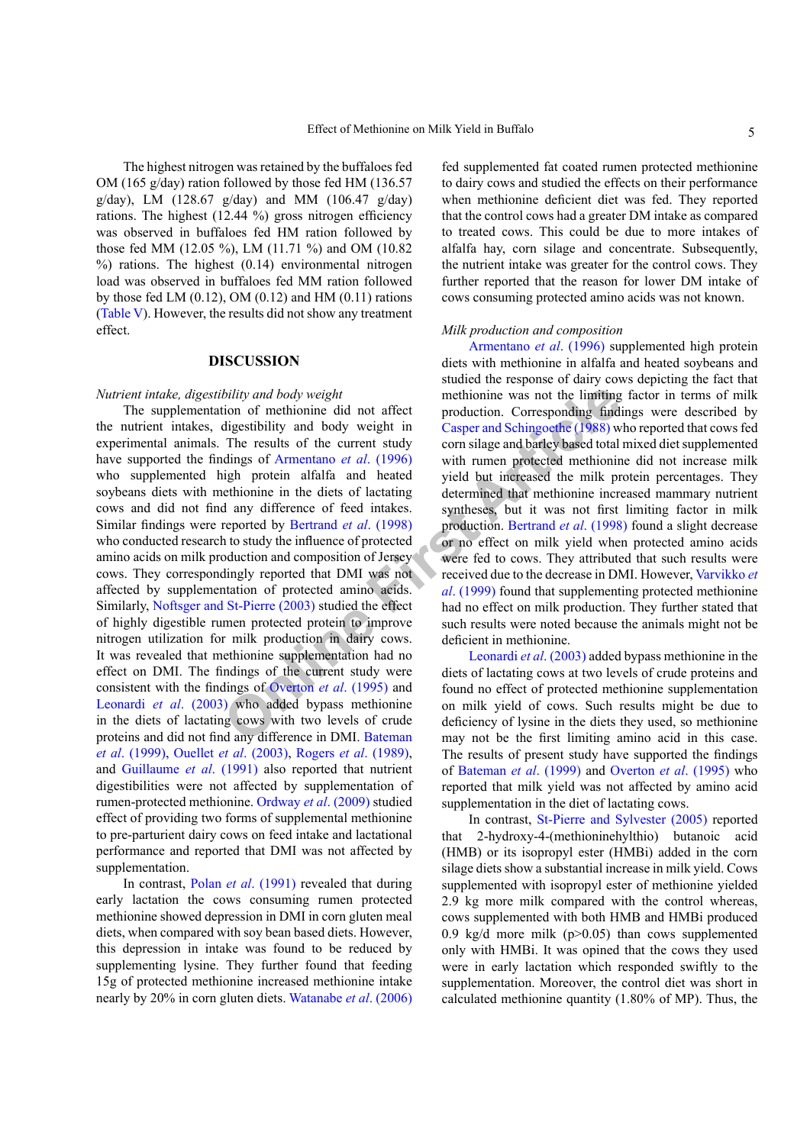The highest nitrogen was retained by the buffaloes fed OM (165 g/day) ration followed by those fed HM (136.57 g/day), LM (128.67 g/day) and MM (106.47 g/day) rations. The highest (12.44 %) gross nitrogen efficiency was observed in buffaloes fed HM ration followed by those fed MM (12.05 %), LM (11.71 %) and OM (10.82 %) rations. The highest (0.14) environmental nitrogen load was observed in buffaloes fed MM ration followed by those fed LM  $(0.12)$ , OM  $(0.12)$  and HM  $(0.11)$  rations [\(Table V](#page-3-3)). However, the results did not show any treatment effect.

#### **DISCUSSION**

#### *Nutrient intake, digestibility and body weight*

bility and body weight<br>
methionine was not the limiting<br>
tion of methionine did not affect<br>
methionine was not the limiting<br>
digestibility and body weight in<br>
Casper and Schingoethe (1988) w<br>
com silage and bartely based t The supplementation of methionine did not affect the nutrient intakes, digestibility and body weight in experimental animals. The results of the current study have supported the findings of Armentano *et al*. (1996) who supplemented high protein alfalfa and heated soybeans diets with methionine in the diets of lactating cows and did not find any difference of feed intakes. Similar findings were reported by Bertrand *et al*. (1998) who conducted research to study the influence of protected amino acids on milk production and composition of Jersey cows. They correspondingly reported that DMI was not affected by supplementation of protected amino acids. Similarly, [Noftsger and St-Pierre \(2003\)](#page-7-12) studied the effect of highly digestible rumen protected protein to improve nitrogen utilization for milk production in dairy cows. It was revealed that methionine supplementation had no effect on DMI. The findings of the current study were consistent with the findings of Overton *et al*. (1995) and [Leonardi](#page-7-13) *et al*. (2003) who added bypass methionine in the diets of lactating cows with two levels of crude proteins and did not find any difference in DMI. Bateman *et al*[. \(1999\),](#page-7-14) Ouellet *et al*[. \(2003\),](#page-8-5) Rogers *et al*[. \(1989\),](#page-8-6) and [Guillaume](#page-7-15) *et al*. (1991) also reported that nutrient digestibilities were not affected by supplementation of rumen-protected methionine. [Ordway](#page-8-7) *et al*. (2009) studied effect of providing two forms of supplemental methionine to pre-parturient dairy cows on feed intake and lactational performance and reported that DMI was not affected by supplementation.

In contrast, Polan *et al*[. \(1991\)](#page-8-8) revealed that during early lactation the cows consuming rumen protected methionine showed depression in DMI in corn gluten meal diets, when compared with soy bean based diets. However, this depression in intake was found to be reduced by supplementing lysine. They further found that feeding 15g of protected methionine increased methionine intake nearly by 20% in corn gluten diets. [Watanabe](#page-8-9) *et al*. (2006)

fed supplemented fat coated rumen protected methionine to dairy cows and studied the effects on their performance when methionine deficient diet was fed. They reported that the control cows had a greater DM intake as compared to treated cows. This could be due to more intakes of alfalfa hay, corn silage and concentrate. Subsequently, the nutrient intake was greater for the control cows. They further reported that the reason for lower DM intake of cows consuming protected amino acids was not known.

#### *Milk production and composition*

[Armentano](#page-7-10) *et al*. (1996) supplemented high protein diets with methionine in alfalfa and heated soybeans and studied the response of dairy cows depicting the fact that methionine was not the limiting factor in terms of milk production. Corresponding findings were described by Casper and Schingoethe (1988) who reported that cows fed corn silage and barley based total mixed diet supplemented with rumen protected methionine did not increase milk yield but increased the milk protein percentages. They determined that methionine increased mammary nutrient syntheses, but it was not first limiting factor in milk production. Bertrand *et al*. (1998) found a slight decrease or no effect on milk yield when protected amino acids were fed to cows. They attributed that such results were received due to the decrease in DMI. However, [Varvikko](#page-8-10) *et al*. (1999) found that supplementing protected methionine had no effect on milk production. They further stated that such results were noted because the animals might not be deficient in methionine.

Leonardi *et al*. (2003) added bypass methionine in the diets of lactating cows at two levels of crude proteins and found no effect of protected methionine supplementation on milk yield of cows. Such results might be due to deficiency of lysine in the diets they used, so methionine may not be the first limiting amino acid in this case. The results of present study have supported the findings of [Bateman](#page-7-14) *et al*. (1999) and [Overton](#page-8-4) *et al*. (1995) who reported that milk yield was not affected by amino acid supplementation in the diet of lactating cows.

In contrast, [St-Pierre and Sylvester \(2005\)](#page-8-11) reported that 2-hydroxy-4-(methioninehylthio) butanoic acid (HMB) or its isopropyl ester (HMBi) added in the corn silage diets show a substantial increase in milk yield. Cows supplemented with isopropyl ester of methionine yielded 2.9 kg more milk compared with the control whereas, cows supplemented with both HMB and HMBi produced 0.9 kg/d more milk ( $p > 0.05$ ) than cows supplemented only with HMBi. It was opined that the cows they used were in early lactation which responded swiftly to the supplementation. Moreover, the control diet was short in calculated methionine quantity (1.80% of MP). Thus, the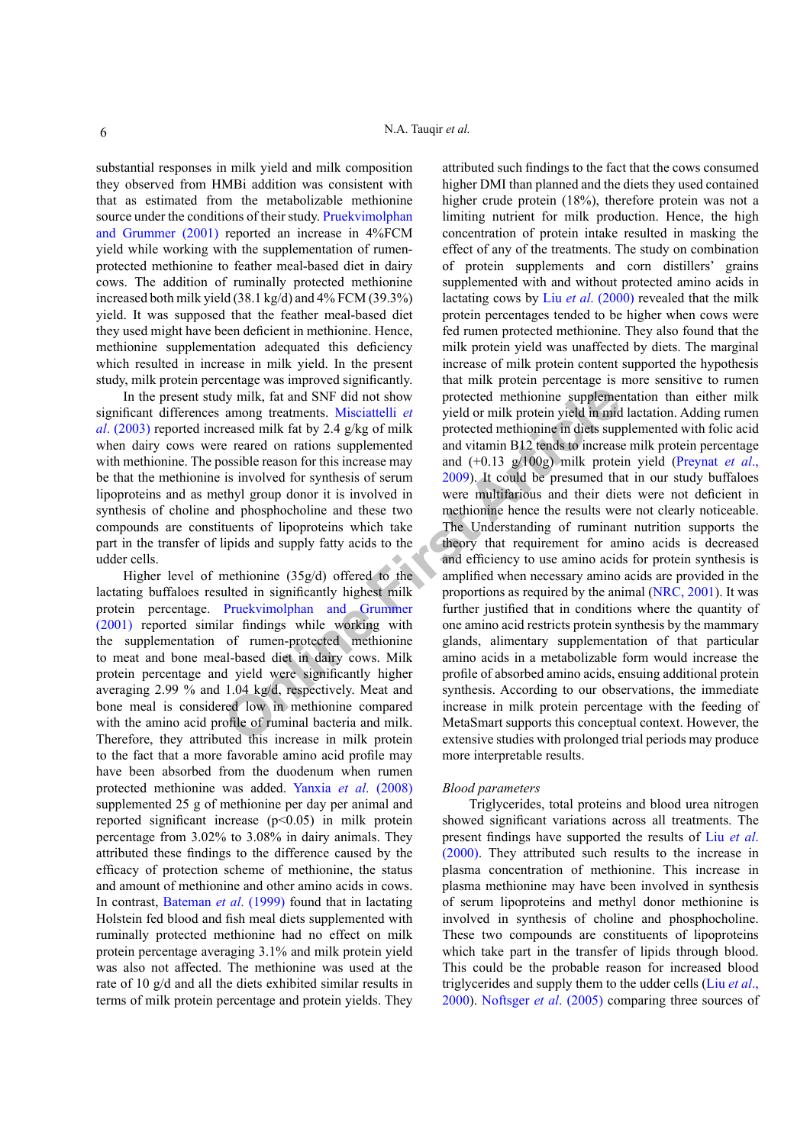substantial responses in milk yield and milk composition they observed from HMBi addition was consistent with that as estimated from the metabolizable methionine source under the conditions of their study. [Pruekvimolphan](#page-7-1) [and Grummer \(2001\)](#page-7-1) reported an increase in 4%FCM yield while working with the supplementation of rumenprotected methionine to feather meal-based diet in dairy cows. The addition of ruminally protected methionine increased both milk yield (38.1 kg/d) and 4% FCM (39.3%) yield. It was supposed that the feather meal-based diet they used might have been deficient in methionine. Hence, methionine supplementation adequated this deficiency which resulted in increase in milk yield. In the present study, milk protein percentage was improved significantly.

In the present study milk, fat and SNF did not show significant differences among treatments. Misciattelli *et al*[. \(2003\)](#page-7-16) reported increased milk fat by 2.4 g/kg of milk when dairy cows were reared on rations supplemented with methionine. The possible reason for this increase may be that the methionine is involved for synthesis of serum lipoproteins and as methyl group donor it is involved in synthesis of choline and phosphocholine and these two compounds are constituents of lipoproteins which take part in the transfer of lipids and supply fatty acids to the udder cells.

Higher level of methionine (35g/d) offered to the lactating buffaloes resulted in significantly highest milk protein percentage. Pruekvimolphan and Grummer [\(2001\)](#page-8-12) reported similar findings while working with the supplementation of rumen-protected methionine to meat and bone meal-based diet in dairy cows. Milk protein percentage and yield were significantly higher averaging 2.99 % and 1.04 kg/d, respectively. Meat and bone meal is considered low in methionine compared with the amino acid profile of ruminal bacteria and milk. Therefore, they attributed this increase in milk protein to the fact that a more favorable amino acid profile may have been absorbed from the duodenum when rumen protected methionine was added. Yanxia *et al*[. \(2008\)](#page-8-13) supplemented 25 g of methionine per day per animal and reported significant increase (p<0.05) in milk protein percentage from 3.02% to 3.08% in dairy animals. They attributed these findings to the difference caused by the efficacy of protection scheme of methionine, the status and amount of methionine and other amino acids in cows. In contrast, [Bateman](#page-7-14) *et al*. (1999) found that in lactating Holstein fed blood and fish meal diets supplemented with ruminally protected methionine had no effect on milk protein percentage averaging 3.1% and milk protein yield was also not affected. The methionine was used at the rate of 10 g/d and all the diets exhibited similar results in terms of milk protein percentage and protein yields. They

**Example 11**<br> **ONF** Solution and SNF did not show protected methionine supplement<br>
among treatments. Misciattelli *et* yield or milk protein yield in mid<br>
reased on rations supplemented and vitamin B12 tends to increase<br> attributed such findings to the fact that the cows consumed higher DMI than planned and the diets they used contained higher crude protein (18%), therefore protein was not a limiting nutrient for milk production. Hence, the high concentration of protein intake resulted in masking the effect of any of the treatments. The study on combination of protein supplements and corn distillers' grains supplemented with and without protected amino acids in lactating cows by Liu *et al*[. \(2000\)](#page-7-17) revealed that the milk protein percentages tended to be higher when cows were fed rumen protected methionine. They also found that the milk protein yield was unaffected by diets. The marginal increase of milk protein content supported the hypothesis that milk protein percentage is more sensitive to rumen protected methionine supplementation than either milk yield or milk protein yield in mid lactation. Adding rumen protected methionine in diets supplemented with folic acid and vitamin B12 tends to increase milk protein percentage and (+0.13 g/100g) milk protein yield [\(Preynat](#page-8-14) *et al*., 2009). It could be presumed that in our study buffaloes were multifarious and their diets were not deficient in methionine hence the results were not clearly noticeable. The Understanding of ruminant nutrition supports the theory that requirement for amino acids is decreased and efficiency to use amino acids for protein synthesis is amplified when necessary amino acids are provided in the proportions as required by the animal [\(NRC, 2001\)](#page-8-0). It was further justified that in conditions where the quantity of one amino acid restricts protein synthesis by the mammary glands, alimentary supplementation of that particular amino acids in a metabolizable form would increase the profile of absorbed amino acids, ensuing additional protein synthesis. According to our observations, the immediate increase in milk protein percentage with the feeding of MetaSmart supports this conceptual context. However, the extensive studies with prolonged trial periods may produce more interpretable results.

#### *Blood parameters*

Triglycerides, total proteins and blood urea nitrogen showed significant variations across all treatments. The present findings have supported the results of Liu *[et al](#page-7-17)*. [\(2000\).](#page-7-17) They attributed such results to the increase in plasma concentration of methionine. This increase in plasma methionine may have been involved in synthesis of serum lipoproteins and methyl donor methionine is involved in synthesis of choline and phosphocholine. These two compounds are constituents of lipoproteins which take part in the transfer of lipids through blood. This could be the probable reason for increased blood triglycerides and supply them to the udder cells (Liu *[et al](#page-7-17)*., [2000](#page-7-17)). [Noftsger](#page-8-2) *et al*. (2005) comparing three sources of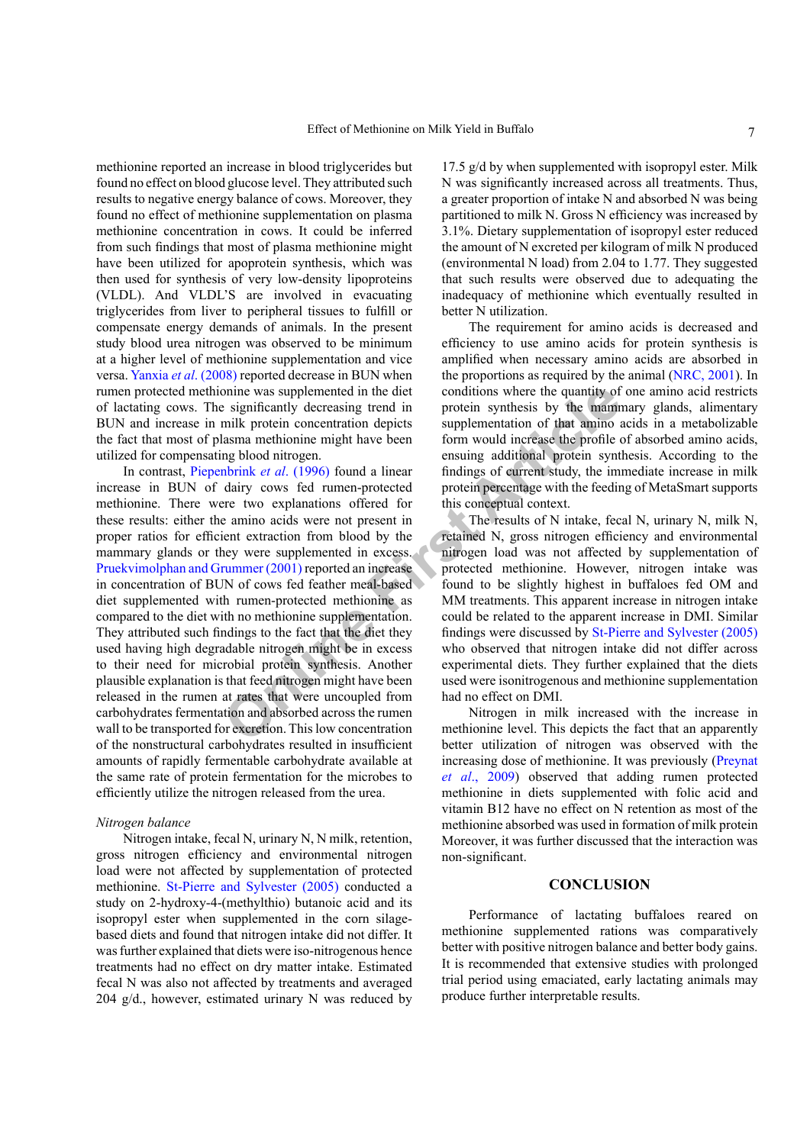methionine reported an increase in blood triglycerides but found no effect on blood glucose level. They attributed such results to negative energy balance of cows. Moreover, they found no effect of methionine supplementation on plasma methionine concentration in cows. It could be inferred from such findings that most of plasma methionine might have been utilized for apoprotein synthesis, which was then used for synthesis of very low-density lipoproteins (VLDL). And VLDL'S are involved in evacuating triglycerides from liver to peripheral tissues to fulfill or compensate energy demands of animals. In the present study blood urea nitrogen was observed to be minimum at a higher level of methionine supplementation and vice versa. Yanxia *et al*[. \(2008\)](#page-8-13) reported decrease in BUN when rumen protected methionine was supplemented in the diet of lactating cows. The significantly decreasing trend in BUN and increase in milk protein concentration depicts the fact that most of plasma methionine might have been utilized for compensating blood nitrogen.

onine was supplemented in the diet<br>
milk protein synthesis by the manninum protein synthesis by the manninum protein synthesis by the manninum sural<br>
manninum protein concentration depicts<br>
are the article complementation In contrast, Piepenbrink *et al*. (1996) found a linear increase in BUN of dairy cows fed rumen-protected methionine. There were two explanations offered for these results: either the amino acids were not present in proper ratios for efficient extraction from blood by the mammary glands or they were supplemented in excess. [Pruekvimolphan and Grummer \(2001\) r](#page-8-12)eported an increase in concentration of BUN of cows fed feather meal-based diet supplemented with rumen-protected methionine as compared to the diet with no methionine supplementation. They attributed such findings to the fact that the diet they used having high degradable nitrogen might be in excess to their need for microbial protein synthesis. Another plausible explanation is that feed nitrogen might have been released in the rumen at rates that were uncoupled from carbohydrates fermentation and absorbed across the rumen wall to be transported for excretion. This low concentration of the nonstructural carbohydrates resulted in insufficient amounts of rapidly fermentable carbohydrate available at the same rate of protein fermentation for the microbes to efficiently utilize the nitrogen released from the urea.

#### *Nitrogen balance*

Nitrogen intake, fecal N, urinary N, N milk, retention, gross nitrogen efficiency and environmental nitrogen load were not affected by supplementation of protected methionine. [St-Pierre and Sylvester \(2005\)](#page-8-11) conducted a study on 2-hydroxy-4-(methylthio) butanoic acid and its isopropyl ester when supplemented in the corn silagebased diets and found that nitrogen intake did not differ. It was further explained that diets were iso-nitrogenous hence treatments had no effect on dry matter intake. Estimated fecal N was also not affected by treatments and averaged 204 g/d., however, estimated urinary N was reduced by

17.5 g/d by when supplemented with isopropyl ester. Milk N was significantly increased across all treatments. Thus, a greater proportion of intake N and absorbed N was being partitioned to milk N. Gross N efficiency was increased by 3.1%. Dietary supplementation of isopropyl ester reduced the amount of N excreted per kilogram of milk N produced (environmental N load) from 2.04 to 1.77. They suggested that such results were observed due to adequating the inadequacy of methionine which eventually resulted in better N utilization.

The requirement for amino acids is decreased and efficiency to use amino acids for protein synthesis is amplified when necessary amino acids are absorbed in the proportions as required by the animal ([NRC, 2001](#page-8-0)). In conditions where the quantity of one amino acid restricts protein synthesis by the mammary glands, alimentary supplementation of that amino acids in a metabolizable form would increase the profile of absorbed amino acids, ensuing additional protein synthesis. According to the findings of current study, the immediate increase in milk protein percentage with the feeding of MetaSmart supports this conceptual context.

The results of N intake, fecal N, urinary N, milk N, retained N, gross nitrogen efficiency and environmental nitrogen load was not affected by supplementation of protected methionine. However, nitrogen intake was found to be slightly highest in buffaloes fed OM and MM treatments. This apparent increase in nitrogen intake could be related to the apparent increase in DMI. Similar findings were discussed by [St-Pierre and Sylvester \(2005\)](#page-8-11) who observed that nitrogen intake did not differ across experimental diets. They further explained that the diets used were isonitrogenous and methionine supplementation had no effect on DMI.

Nitrogen in milk increased with the increase in methionine level. This depicts the fact that an apparently better utilization of nitrogen was observed with the increasing dose of methionine. It was previously ([Preynat](#page-8-14) *et al*[., 2009](#page-8-14)) observed that adding rumen protected methionine in diets supplemented with folic acid and vitamin B12 have no effect on N retention as most of the methionine absorbed was used in formation of milk protein Moreover, it was further discussed that the interaction was non-significant.

## **CONCLUSION**

Performance of lactating buffaloes reared on methionine supplemented rations was comparatively better with positive nitrogen balance and better body gains. It is recommended that extensive studies with prolonged trial period using emaciated, early lactating animals may produce further interpretable results.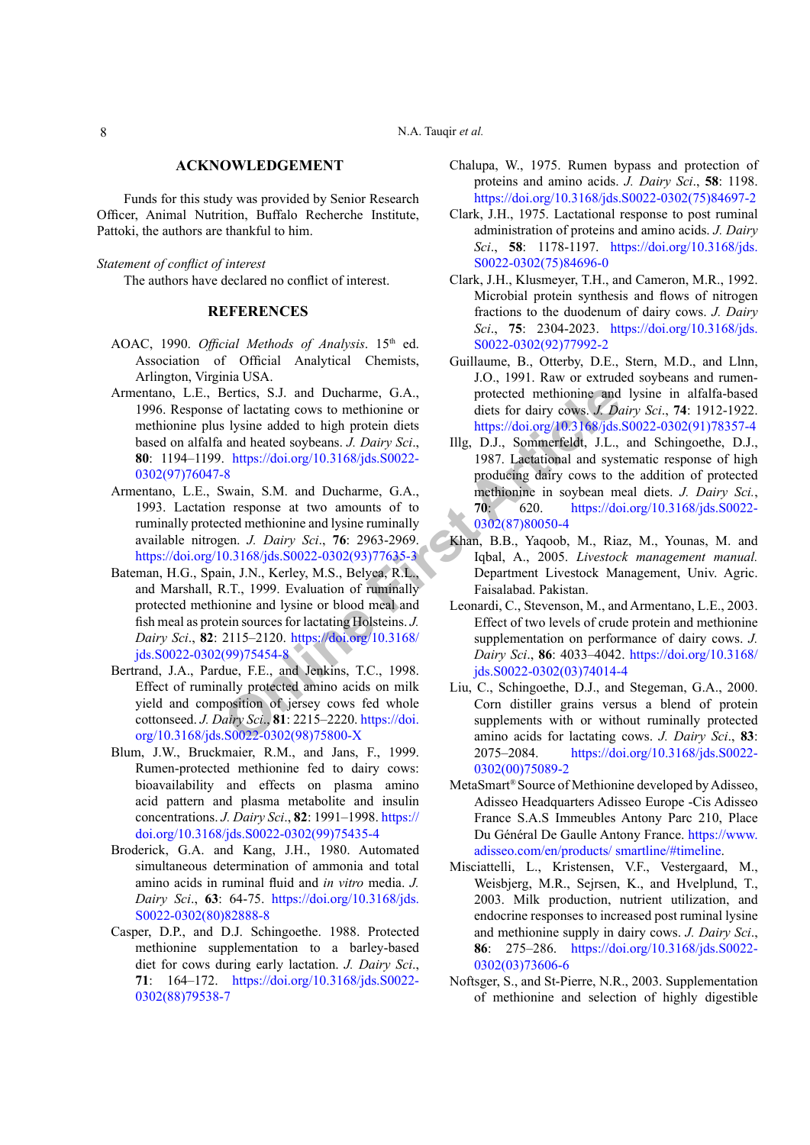Funds for this study was provided by Senior Research Officer, Animal Nutrition, Buffalo Recherche Institute, Pattoki, the authors are thankful to him.

*Statement of conflict of interest*

The authors have declared no conflict of interest.

# **REFERENCES**

- <span id="page-7-7"></span>AOAC, 1990. *Official Methods of Analysis*. 15<sup>th</sup> ed. Association of Official Analytical Chemists, Arlington, Virginia USA.
- <span id="page-7-10"></span>Bertics, S.J. and Ducharme, G.A.,<br>
or flactating cows to methion[ine](https://doi.org/10.3168/jds.S0022-0302(99)75454-8) or<br>
diets for dairy cows J. De<br>
1 stars and heated solybeans J. Dairy Sci,<br>
1 mg, D.J., Sommerfeldt, J.L.,<br>
https://doi.org/10.3168/jds.S0022-<br>
8 producin Armentano, L.E., Bertics, S.J. and Ducharme, G.A., 1996. Response of lactating cows to methionine or methionine plus lysine added to high protein diets based on alfalfa and heated soybeans. *J. Dairy Sci*., **80**: 1194–1199. https://doi.org/10.3168/jds.S0022- [0302\(97\)76047-8](https://doi.org/10.3168/jds.S0022-0302(97)76047-8)
- <span id="page-7-6"></span>Armentano, L.E., Swain, S.M. and Ducharme, G.A., 1993. Lactation response at two amounts of to ruminally protected methionine and lysine ruminally available nitrogen. *J. Dairy Sci*., **76**: 2963-2969. [https://doi.org/10.3168/jds.S0022-0302\(93\)77635-3](https://doi.org/10.3168/jds.S0022-0302(93)77635-3)
- <span id="page-7-14"></span>Bateman, H.G., Spain, J.N., Kerley, M.S., Belyea, R.L., and Marshall, R.T., 1999. Evaluation of ruminally protected methionine and lysine or blood meal and fish meal as protein sources for lactating Holsteins. *J. Dairy Sci*., **82**: 2115–2120. https://doi.org/10.3168/ [jds.S0022-0302\(99\)75454-8](https://doi.org/10.3168/jds.S0022-0302(99)75454-8)
- <span id="page-7-11"></span>Bertrand, J.A., Pardue, F.E., and Jenkins, T.C., 1998. Effect of ruminally protected amino acids on milk yield and composition of jersey cows fed whole cottonseed. *J. Dairy Sci*., **81**: 2215–2220. https://doi. [org/10.3168/jds.S0022-0302\(98\)75800-X](https://doi.org/10.3168/jds.S0022-0302(98)75800-X)
- <span id="page-7-4"></span>Blum, J.W., Bruckmaier, R.M., and Jans, F., 1999. Rumen-protected methionine fed to dairy cows: bioavailability and effects on plasma amino acid pattern and plasma metabolite and insulin concentrations. *J. Dairy Sci*., **82**: 1991–1998. [https://](https://doi.org/10.3168/jds.S0022-0302(99)75435-4) [doi.org/10.3168/jds.S0022-0302\(99\)75435-4](https://doi.org/10.3168/jds.S0022-0302(99)75435-4)
- <span id="page-7-9"></span>Broderick, G.A. and Kang, J.H., 1980. Automated simultaneous determination of ammonia and total amino acids in ruminal fluid and *in vitro* media. *J. Dairy Sci*., **63**: 64-75. [https://doi.org/10.3168/jds.](https://doi.org/10.3168/jds.S0022-0302(80)82888-8) [S0022-0302\(80\)82888-8](https://doi.org/10.3168/jds.S0022-0302(80)82888-8)
- <span id="page-7-3"></span>Casper, D.P., and D.J. Schingoethe. 1988. Protected methionine supplementation to a barley-based diet for cows during early lactation. *J. Dairy Sci*., **71**: 164–172. [https://doi.org/10.3168/jds.S0022-](https://doi.org/10.3168/jds.S0022-0302(88)79538-7) [0302\(88\)79538-7](https://doi.org/10.3168/jds.S0022-0302(88)79538-7)
- <span id="page-7-1"></span>Chalupa, W., 1975. Rumen bypass and protection of proteins and amino acids. *J. Dairy Sci*., **58**: 1198. [https://doi.org/10.3168/jds.S0022-0302\(75\)84697-2](https://doi.org/10.3168/jds.S0022-0302(75)84697-2)
- <span id="page-7-2"></span>Clark, J.H., 1975. Lactational response to post ruminal administration of proteins and amino acids. *J. Dairy Sci*., **58**: 1178-1197. [https://doi.org/10.3168/jds.](https://doi.org/10.3168/jds.S0022-0302(75)84696-0) [S0022-0302\(75\)84696-0](https://doi.org/10.3168/jds.S0022-0302(75)84696-0)
- <span id="page-7-0"></span>Clark, J.H., Klusmeyer, T.H., and Cameron, M.R., 1992. Microbial protein synthesis and flows of nitrogen fractions to the duodenum of dairy cows. *J. Dairy Sci*., **75**: 2304-2023. [https://doi.org/10.3168/jds.](https://doi.org/10.3168/jds.S0022-0302(92)77992-2) [S0022-0302\(92\)77992-2](https://doi.org/10.3168/jds.S0022-0302(92)77992-2)
- <span id="page-7-15"></span>Guillaume, B., Otterby, D.E., Stern, M.D., and Llnn, J.O., 1991. Raw or extruded soybeans and rumenprotected methionine and lysine in alfalfa-based diets for dairy cows. *J. Dairy Sci*., **74**: 1912-1922. [https://doi.org/10.3168/jds.S0022-0302\(91\)78357-4](https://doi.org/10.3168/jds.S0022-0302(91)78357-4)
- <span id="page-7-5"></span>Illg, D.J., Sommerfeldt, J.L., and Schingoethe, D.J., 1987. Lactational and systematic response of high producing dairy cows to the addition of protected methionine in soybean meal diets. *J. Dairy Sci.*, **70**: 620. [https://doi.org/10.3168/jds.S0022-](https://doi.org/10.3168/jds.S0022-0302(87)80050-4) 0302(87)80050-4
- <span id="page-7-8"></span>Khan, B.B., Yaqoob, M., Riaz, M., Younas, M. and Iqbal, A., 2005. *Livestock management manual.* Department Livestock Management, Univ. Agric. Faisalabad. Pakistan.
- <span id="page-7-13"></span>Leonardi, C., Stevenson, M., and Armentano, L.E., 2003. Effect of two levels of crude protein and methionine supplementation on performance of dairy cows. *J. Dairy Sci*., **86**: 4033–4042. [https://doi.org/10.3168/](https://doi.org/10.3168/jds.S0022-0302(03)74014-4) jds.S0022-0302(03)74014-4
- <span id="page-7-17"></span>Liu, C., Schingoethe, D.J., and Stegeman, G.A., 2000. Corn distiller grains versus a blend of protein supplements with or without ruminally protected amino acids for lactating cows. *J. Dairy Sci*., **83**: 2075–2084. [https://doi.org/10.3168/jds.S0022-](https://doi.org/10.3168/jds.S0022-0302(00)75089-2) [0302\(00\)75089-2](https://doi.org/10.3168/jds.S0022-0302(00)75089-2)
- MetaSmart® Source of Methionine developed by Adisseo, Adisseo Headquarters Adisseo Europe -Cis Adisseo France S.A.S Immeubles Antony Parc 210, Place Du Général De Gaulle Antony France. [https://www.](https://www.adisseo.com/en/products/ smartline/#timeline) [adisseo.com/en/products/ smartline/#timeline](https://www.adisseo.com/en/products/ smartline/#timeline).
- <span id="page-7-16"></span>Misciattelli, L., Kristensen, V.F., Vestergaard, M., Weisbjerg, M.R., Sejrsen, K., and Hvelplund, T., 2003. Milk production, nutrient utilization, and endocrine responses to increased post ruminal lysine and methionine supply in dairy cows. *J. Dairy Sci*., **86**: 275–286. [https://doi.org/10.3168/jds.S0022-](https://doi.org/10.3168/jds.S0022-0302(03)73606-6) [0302\(03\)73606-6](https://doi.org/10.3168/jds.S0022-0302(03)73606-6)
- <span id="page-7-12"></span>Noftsger, S., and St-Pierre, N.R., 2003. Supplementation of methionine and selection of highly digestible